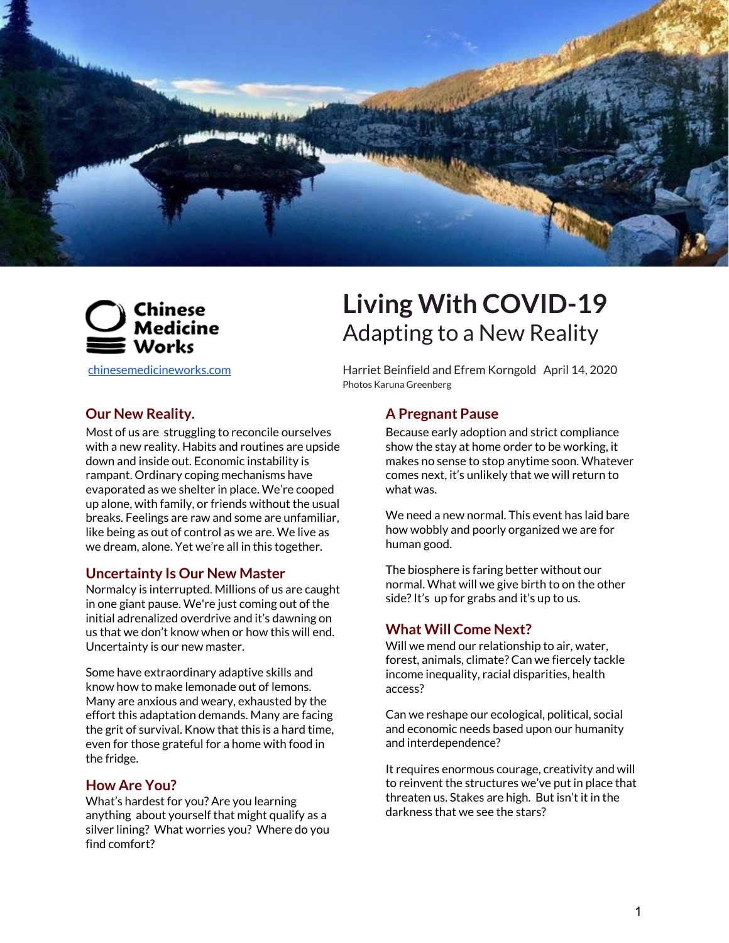



## **Our New Reality.**

Most of us are struggling to reconcile ourselves with a new reality. Habits and routines are upside down and inside out. Economic instability is rampant. Ordinary coping mechanisms have evaporated as we shelter in place. We're cooped up alone, with family, or friends without the usual breaks. Feelings are raw and some are unfamiliar, like being as out of control as we are. We live as we dream, alone. Yet we're all in this together.

## **Uncertainty Is Our New Master**

Normalcy is interrupted. Millions of us are caught in one giant pause. We're just coming out of the initial adrenalized overdrive and it's dawning on us that we don't know when or how this will end. Uncertainty is our new master.

Some have extraordinary adaptive skills and know how to make lemonade out of lemons. Many are anxious and weary, exhausted by the effort this adaptation demands. Many are facing the grit of survival. Know that this is a hard time, even for those grateful for a home with food in the fridge.

# **How Are You?**

What's hardest for you? Are you learning anything about yourself that might qualify as a silver lining? What worries you? Where do you find comfort?

# **Living With COVID-19** Adapting to a New Reality

[chinesemedicineworks.com](http://chinesemedicineworks.com/) Harriet Beinfield and Efrem Korngold April 14, 2020 Photos Karuna Greenberg

## **A Pregnant Pause**

Because early adoption and strict compliance show the stay at home order to be working, it makes no sense to stop anytime soon. Whatever comes next, it's unlikely that we will return to what was.

We need a new normal. This event has laid bare how wobbly and poorly organized we are for human good.

The biosphere is faring better without our normal. What will we give birth to on the other side? It's up for grabs and it's up to us.

## **What Will Come Next?**

Will we mend our relationship to air, water, forest, animals, climate? Can we fiercely tackle income inequality, racial disparities, health access?

Can we reshape our ecological, political, social and economic needs based upon our humanity and interdependence?

It requires enormous courage, creativity and will to reinvent the structures we've put in place that threaten us. Stakes are high. But isn't it in the darkness that we see the stars?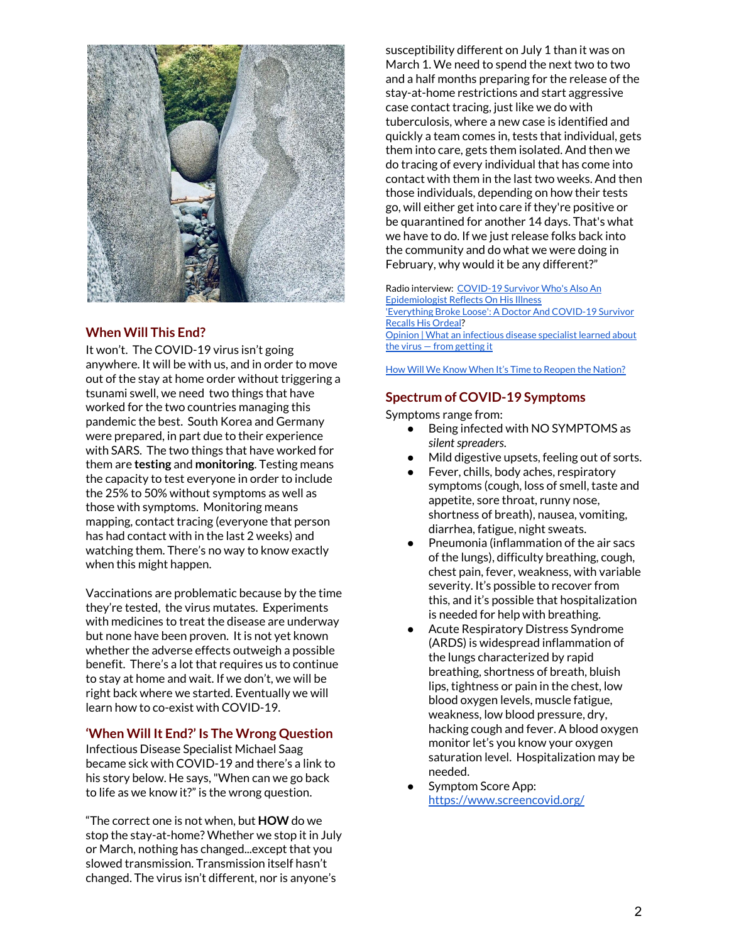

## **When Will This End?**

It won't. The COVID-19 virus isn't going anywhere. It will be with us, and in order to move out of the stay at home order without triggering a tsunami swell, we need two things that have worked for the two countries managing this pandemic the best. South Korea and Germany were prepared, in part due to their experience with SARS. The two things that have worked for them are **testing** and **monitoring**. Testing means the capacity to test everyone in order to include the 25% to 50% without symptoms as well as those with symptoms. Monitoring means mapping, contact tracing (everyone that person has had contact with in the last 2 weeks) and watching them. There's no way to know exactly when this might happen.

Vaccinations are problematic because by the time they're tested, the virus mutates. Experiments with medicines to treat the disease are underway but none have been proven. It is not yet known whether the adverse effects outweigh a possible benefit. There's a lot that requires us to continue to stay at home and wait. If we don't, we will be right back where we started. Eventually we will learn how to co-exist with COVID-19.

## **'When Will It End?' Is The Wrong Question**

Infectious Disease Specialist Michael Saag became sick with COVID-19 and there's a link to his story below. He says,"When can we go back to life as we know it?" is the wrong question.

"The correct one is not when, but **HOW** do we stop the stay-at-home? Whether we stop it in July or March, nothing has changed...except that you slowed transmission. Transmission itself hasn't changed. The virus isn't different, nor is anyone's

susceptibility different on July 1 than it was on March 1. We need to spend the next two to two and a half months preparing for the release of the stay-at-home restrictions and start aggressive case contact tracing, just like we do with tuberculosis, where a new case is identified and quickly a team comes in, tests that individual, gets them into care, gets them isolated. And then we do tracing of every individual that has come into contact with them in the last two weeks. And then those individuals, depending on how their tests go, will either get into care if they're positive or be quarantined for another 14 days. That's what we have to do. If we just release folks back into the community and do what we were doing in February, why would it be any different?"

Radio interview: [COVID-19](https://www.npr.org/2020/04/11/832360462/covid-19-survivor-whos-also-an-epidemiologist-reflects-on-his-illness) Survivor Who's Also An [Epidemiologist](https://www.npr.org/2020/04/11/832360462/covid-19-survivor-whos-also-an-epidemiologist-reflects-on-his-illness) Reflects On His Illness ['Everything](https://www.npr.org/sections/coronavirus-live-updates/2020/04/11/832529963/everything-broke-loose-a-doctor-and-covid-19-survivor-recalls-the-ordeal) Broke Loose': A Doctor And COVID-19 Survivor [Recalls](https://www.npr.org/sections/coronavirus-live-updates/2020/04/11/832529963/everything-broke-loose-a-doctor-and-covid-19-survivor-recalls-the-ordeal) His Ordeal? Opinion | What an [infectious](https://www.washingtonpost.com/opinions/2020/04/06/what-an-infectious-disease-specialist-learned-about-virus-getting-it/?arc404=true) disease specialist learned about the virus — from [getting](https://www.washingtonpost.com/opinions/2020/04/06/what-an-infectious-disease-specialist-learned-about-virus-getting-it/?arc404=true) it

How Will We Know When It's Time to Reopen the [Nation?](https://www.nytimes.com/2020/04/06/upshot/coronavirus-four-benchmarks-reopening.html)

#### **Spectrum of COVID-19 Symptoms**

Symptoms range from:

- Being infected with NO SYMPTOMS as silent spreaders.
- Mild digestive upsets, feeling out of sorts.
- Fever, chills, body aches, respiratory symptoms (cough, loss of smell, taste and appetite, sore throat, runny nose, shortness of breath), nausea, vomiting, diarrhea, fatigue, night sweats.
- Pneumonia (inflammation of the air sacs of the lungs), difficulty breathing, cough, chest pain, fever, weakness, with variable severity. It's possible to recover from this, and it's possible that hospitalization is needed for help with breathing.
- Acute Respiratory Distress Syndrome (ARDS) is widespread inflammation of the lungs characterized by rapid breathing, shortness of breath, bluish lips, tightness or pain in the chest, low blood oxygen levels, muscle fatigue, weakness, low blood pressure, dry, hacking cough and fever. A blood oxygen monitor let's you know your oxygen saturation level. Hospitalization may be needed.
- Symptom Score App: <https://www.screencovid.org/>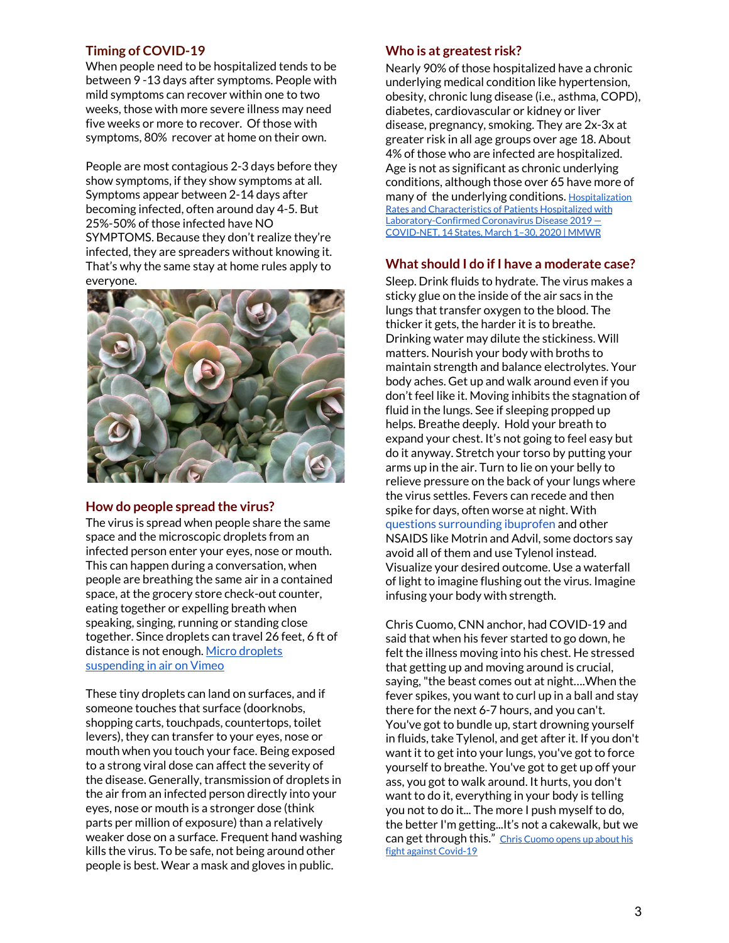## **Timing of COVID-19**

When people need to be hospitalized tends to be between 9 -13 days after symptoms. People with mild symptoms can recover within one to two weeks, those with more severe illness may need five weeks or more to recover. Of those with symptoms, 80% recover at home on their own.

People are most contagious 2-3 days before they show symptoms, if they show symptoms at all. Symptoms appear between 2-14 days after becoming infected, often around day 4-5. But 25%-50% of those infected have NO SYMPTOMS. Because they don't realize they're infected, they are spreaders without knowing it. That's why the same stay at home rules apply to everyone.



## **How do people spread the virus?**

The virus is spread when people share the same space and the microscopic droplets from an infected person enter your eyes, nose or mouth. This can happen during a conversation, when people are breathing the same air in a contained space, at the grocery store check-out counter, eating together or expelling breath when speaking, singing, running or standing close together. Since droplets can travel 26 feet, 6 ft of distance is not enough. Micro [droplets](https://vimeo.com/402577241) [suspending](https://vimeo.com/402577241) in air on Vimeo

These tiny droplets can land on surfaces, and if someone touches that surface (doorknobs, shopping carts, touchpads, countertops, toilet levers), they can transfer to your eyes, nose or mouth when you touch your face. Being exposed to a strong viral dose can affect the severity of the disease. Generally, transmission of droplets in the air from an infected person directly into your eyes, nose or mouth is a stronger dose (think parts per million of exposure) than a relatively weaker dose on a surface. Frequent hand washing kills the virus. To be safe, not being around other people is best. Wear a mask and gloves in public.

#### **Who is at greatest risk?**

Nearly 90% of those hospitalized have a chronic underlying medical condition like hypertension, obesity, chronic lung disease (i.e., asthma, COPD), diabetes, cardiovascular or kidney or liver disease, pregnancy, smoking. They are 2x-3x at greater risk in all age groups over age 18. About 4% of those who are infected are hospitalized. Age is not as significant as chronic underlying conditions, although those over 65 have more of many of the underlying conditions. [Hospitalization](https://www.cdc.gov/mmwr/volumes/69/wr/mm6915e3.htm?s_cid=mm6915e3_w) Rates and [Characteristics](https://www.cdc.gov/mmwr/volumes/69/wr/mm6915e3.htm?s_cid=mm6915e3_w) of Patients Hospitalized with [Laboratory-Confirmed](https://www.cdc.gov/mmwr/volumes/69/wr/mm6915e3.htm?s_cid=mm6915e3_w) Coronavirus Disease 2019 — [COVID-NET,](https://www.cdc.gov/mmwr/volumes/69/wr/mm6915e3.htm?s_cid=mm6915e3_w) 14 States, March 1–30, 2020 | MMWR

## **What should I do if I have a moderate case?**

Sleep. Drink fluids to hydrate. The virus makes a sticky glue on the inside of the air sacs in the lungs that transfer oxygen to the blood. The thicker it gets, the harder it is to breathe. Drinking water may dilute the stickiness. Will matters. Nourish your body with broths to maintain strength and balance electrolytes. Your body aches. Get up and walk around even if you don't feel like it. Moving inhibits the stagnation of fluid in the lungs. See if sleeping propped up helps. Breathe deeply. Hold your breath to expand your chest. It's not going to feel easy but do it anyway. Stretch your torso by putting your arms up in the air. Turn to lie on your belly to relieve pressure on the back of your lungs where the virus settles. Fevers can recede and then spike for days, often worse at night. With questions [surrounding](https://elemental.medium.com/heres-what-we-know-about-ibuprofen-and-covid-19-212960b28e03) ibuprofen and other NSAIDS like Motrin and Advil, some doctors say avoid all of them and use Tylenol instead. Visualize your desired outcome. Use a waterfall of light to imagine flushing out the virus. Imagine infusing your body with strength.

Chris Cuomo, CNN anchor, had COVID-19 and said that when his fever started to go down, he felt the illness moving into his chest. He stressed that getting up and moving around is crucial, saying,"the beast comes out at night….When the fever spikes, you want to curl up in a ball and stay there for the next 6-7 hours, and you can't. You've got to bundle up, start drowning yourself in fluids, take Tylenol, and get after it. If you don't want it to get into your lungs, you've got to force yourself to breathe. You've got to get up off your ass, you got to walk around. It hurts, you don't want to do it, everything in your body is telling you not to do it... The more I push myself to do, the better I'm getting...It's not a cakewalk, but we can get through this." Chris [Cuomo](https://www.cnn.com/videos/media/2020/04/07/closing-argument-secret-kicking-coronavirus-chris-cuomo-cpt-vpx.cnn) opens up about his fight against [Covid-19](https://www.cnn.com/videos/media/2020/04/07/closing-argument-secret-kicking-coronavirus-chris-cuomo-cpt-vpx.cnn)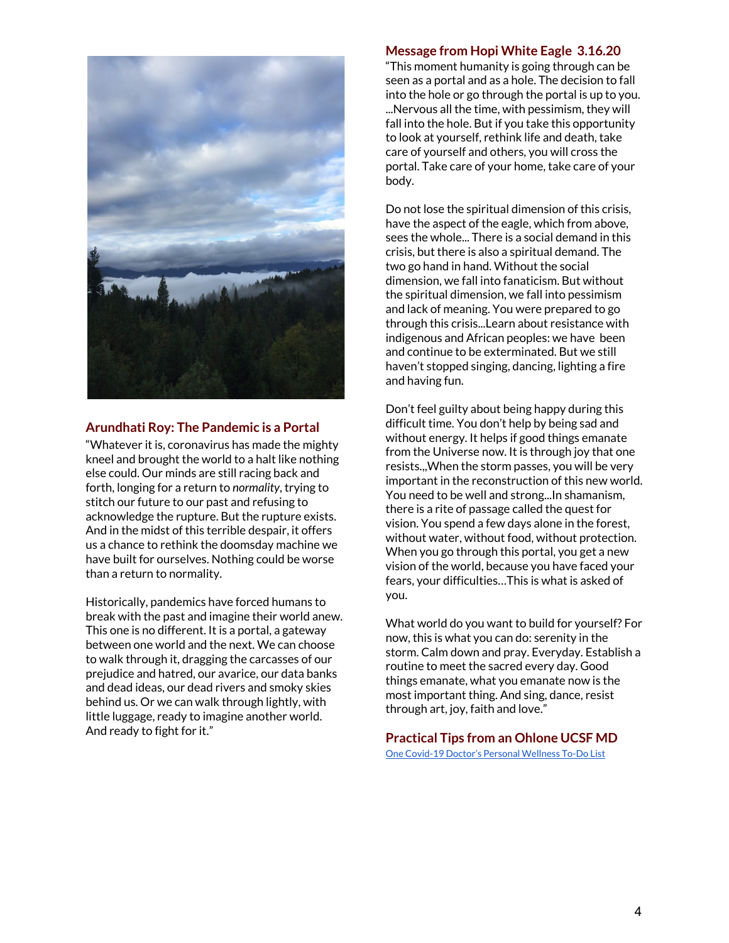

## **Arundhati Roy: The Pandemic is a Portal**

"Whatever it is, coronavirus has made the mighty kneel and brought the world to a halt like nothing else could. Our minds are still racing back and forth, longing for a return to *normality*, trying to stitch our future to our past and refusing to acknowledge the rupture. But the rupture exists. And in the midst of this terrible despair, it offers us a chance to rethink the doomsday machine we have built for ourselves. Nothing could be worse than a return to normality.

Historically, pandemics have forced humans to break with the past and imagine their world anew. This one is no different. It is a portal, a gateway between one world and the next. We can choose to walk through it, dragging the carcasses of our prejudice and hatred, our avarice, our data banks and dead ideas, our dead rivers and smoky skies behind us. Or we can walk through lightly, with little luggage, ready to imagine another world. And ready to fight for it."

#### **Message from Hopi White Eagle 3.16.20**

"This moment humanity is going through can be seen as a portal and as a hole. The decision to fall into the hole or go through the portal is up to you. ...Nervous all the time, with pessimism, they will fall into the hole. But if you take this opportunity to look at yourself, rethink life and death, take care of yourself and others, you will cross the portal. Take care of your home, take care of your body.

Do not lose the spiritual dimension of this crisis, have the aspect of the eagle, which from above, sees the whole... There is a social demand in this crisis, but there is also a spiritual demand. The two go hand in hand. Without the social dimension, we fall into fanaticism. But without the spiritual dimension, we fall into pessimism and lack of meaning. You were prepared to go through this crisis...Learn about resistance with indigenous and African peoples: we have been and continue to be exterminated. But we still haven't stopped singing, dancing, lighting a fire and having fun.

Don't feel guilty about being happy during this difficult time. You don't help by being sad and without energy. It helps if good things emanate from the Universe now. It is through joy that one resists.,,When the storm passes, you will be very important in the reconstruction of this new world. You need to be well and strong...In shamanism, there is a rite of passage called the quest for vision. You spend a few days alone in the forest, without water, without food, without protection. When you go through this portal, you get a new vision of the world, because you have faced your fears, your difficulties…This is what is asked of you.

What world do you want to build for yourself? For now, this is what you can do: serenity in the storm. Calm down and pray. Everyday. Establish a routine to meet the sacred every day. Good things emanate, what you emanate now is the most important thing. And sing, dance, resist through art, joy, faith and love."

**Practical Tips from an Ohlone UCSF MD** One [Covid-19](https://elemental.medium.com/list-of-personal-things-you-can-do-to-stay-well-in-a-time-of-covid19-cd10ff0df106) Doctor's Personal Wellness To-Do List